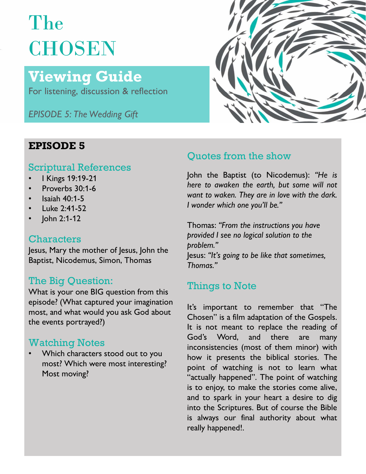# The **CHOSEN**

## Viewing Guide

For listening, discussion & reflection

EPISODE 5: The Wedding Gift



- 
- 
- Isaiah  $40:1-5$
- Luke 2:41-52
- lohn 2:1-12

### **Characters**

Jesus, Mary the mother of Jesus, John the  $\frac{p_1p_2p_3p_4p_5}{p_1p_2p_3p_4p_5}$  lesus: "It's going to be like that sometimes, Baptist, Nicodemus, Simon, Thomas

### The Big Question:

The Dig Question.<br>What is your one BIG question from this<br> episode? (What captured your imagination<br>lt's important to remember that "The the events portrayed?)

Most moving?



## **EPISODE 5**<br>Cuotes from the show

Scriptural References<br>
Scriptural References<br>
John the Baptist (to Nicodemus): "He is  $\frac{1}{2}$  Kings 19:19-21 **Figure 1.1 In the Baptist (to Nicodemus):** He is Proverbs 30:1-6 **Froverbs 30:1-6** *nere to awaken the earth, but some will not*<br>want to waken. They are in love with the dark.

problem." **Quotes from the show<br>John the Baptist (to Nicodemus): "He is<br>here to awaken the earth, but some will not<br>want to waken. They are in love with the dark.<br>I wonder which one you'll be."<br>Thomas: "From the instructions you hav** Thomas." Quotes from the show<br>John the Baptist (to Nicodemus): "He is<br>here to awaken the earth, but some will not<br>want to waken. They are in love with the dark.<br>I wonder which one you'll be."<br>Thomas: "From the instructions you have

most, and what would you ask God about<br>Chosen" is a film adaptation of the Gospels. Watching Notes<br>
Word, and there are many<br>
inconsistencies (most of them minor) with Which characters stood out to you how it presents the biblical stories. The most? Which were most interesting?<br>point of watching is not to learn what **In the Baptist (to Nicodemus):** "He is<br>there to awaken the earth, but some will not<br>want to waken. They are in love with the dark.<br>I wonder which one you'll be."<br>Thomas: "From the instructions you have<br>provided I see no l John the Baptist (to Nicodemus): "He is<br>here to awaken the earth, but some will not<br>want to waken. They are in love with the dark.<br>I wonder which one you'll be."<br>Thomas: "From the instructions you have<br>provided I see no lo There to awaken the earth, but some will not<br>
want to waken. They are in love with the dark.<br>
I wonder which one you'll be."<br>
Thomas: "From the instructions you have<br>
provided I see no logical solution to the<br>
problem."<br>
I want to waken. They are in love with the dark.<br>
I wonder which one you'll be."<br>
Thomas: "From the instructions you have<br>
provided I see no logical solution to the<br>
problem."<br>
Jesus: "It's going to be like that sometimes,<br> I wonder which one you'll be."<br>
Thomas: "From the instructions you have<br>
provided I see no logical solution to the<br>
problem."<br>
Jesus: "It's going to be like that sometimes,<br>
Thomas."<br> **Things to Note**<br>
It's important to re Thomas: "From the instructions you have<br>provided I see no logical solution to the<br>problem."<br>Jesus: "It's going to be like that sometimes,<br>Thomas."<br>Things to Note<br>It's important to remember that "The<br>Chosen" is a film adapt Thomas: "From the instructions you have<br>provided I see no logical solution to the<br>problem."<br>Jesus: "It's going to be like that sometimes,<br>Thomas."<br>Things to Note<br>It's important to remember that "The<br>Chosen" is a film adapt provided I see no logical solution to the<br>problem."<br>Jesus: "It's going to be like that sometimes,<br>Thomas."<br>Things to Note<br>It's important to remember that "The<br>Chosen" is a film adaptation of the Gospels.<br>It is not meant to problem."<br>Jesus: "It's going to be like that sometimes,<br>Thomas."<br>Things to Note<br>It's important to remember that "The<br>Chosen" is a film adaptation of the Gospels.<br>It is not meant to replace the reading of<br>God's Word, and th Jesus: "It's going to be like that sometimes,<br>Thomas."<br>Things to Note<br>It's important to remember that "The<br>Chosen" is a film adaptation of the Gospels.<br>It is not meant to replace the reading of<br>God's Word, and there are ma Thomas."<br>
Things to Note<br>
It's important to remember that "The<br>
Chosen" is a film adaptation of the Gospels.<br>
It is not meant to replace the reading of<br>
God's Word, and there are many<br>
inconsistencies (most of them minor) Things to Note<br>It's important to remember that "The<br>Chosen" is a film adaptation of the Gospels.<br>It is not meant to replace the reading of<br>God's Word, and there are many<br>inconsistencies (most of them minor) with<br>how it pre Things to Note<br>It's important to remember that "The<br>Chosen" is a film adaptation of the Gospels.<br>It is not meant to replace the reading of<br>God's Word, and there are many<br>inconsistencies (most of them minor) with<br>how it pre